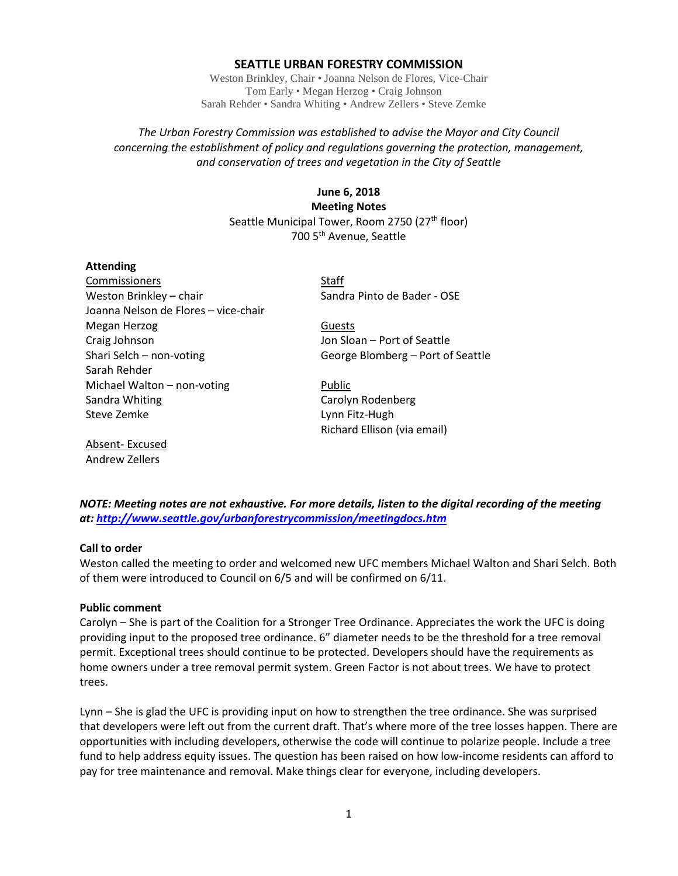# **SEATTLE URBAN FORESTRY COMMISSION**

Weston Brinkley, Chair • Joanna Nelson de Flores, Vice-Chair Tom Early • Megan Herzog • Craig Johnson Sarah Rehder • Sandra Whiting • Andrew Zellers • Steve Zemke

# *The Urban Forestry Commission was established to advise the Mayor and City Council concerning the establishment of policy and regulations governing the protection, management, and conservation of trees and vegetation in the City of Seattle*

**June 6, 2018 Meeting Notes** Seattle Municipal Tower, Room 2750 (27<sup>th</sup> floor) 700 5th Avenue, Seattle

### **Attending**

Commissioners Staff Weston Brinkley – chair Sandra Pinto de Bader - OSE Joanna Nelson de Flores – vice-chair Megan Herzog Guests Craig Johnson **Craig Johnson** Jon Sloan – Port of Seattle Shari Selch – non-voting George Blomberg – Port of Seattle Sarah Rehder Michael Walton – non-voting example and Public Sandra Whiting **Carolyn Rodenberg** Steve Zemke Lynn Fitz-Hugh

Richard Ellison (via email)

Absent- Excused Andrew Zellers

*NOTE: Meeting notes are not exhaustive. For more details, listen to the digital recording of the meeting at:<http://www.seattle.gov/urbanforestrycommission/meetingdocs.htm>*

### **Call to order**

Weston called the meeting to order and welcomed new UFC members Michael Walton and Shari Selch. Both of them were introduced to Council on 6/5 and will be confirmed on 6/11.

#### **Public comment**

Carolyn – She is part of the Coalition for a Stronger Tree Ordinance. Appreciates the work the UFC is doing providing input to the proposed tree ordinance. 6" diameter needs to be the threshold for a tree removal permit. Exceptional trees should continue to be protected. Developers should have the requirements as home owners under a tree removal permit system. Green Factor is not about trees. We have to protect trees.

Lynn – She is glad the UFC is providing input on how to strengthen the tree ordinance. She was surprised that developers were left out from the current draft. That's where more of the tree losses happen. There are opportunities with including developers, otherwise the code will continue to polarize people. Include a tree fund to help address equity issues. The question has been raised on how low-income residents can afford to pay for tree maintenance and removal. Make things clear for everyone, including developers.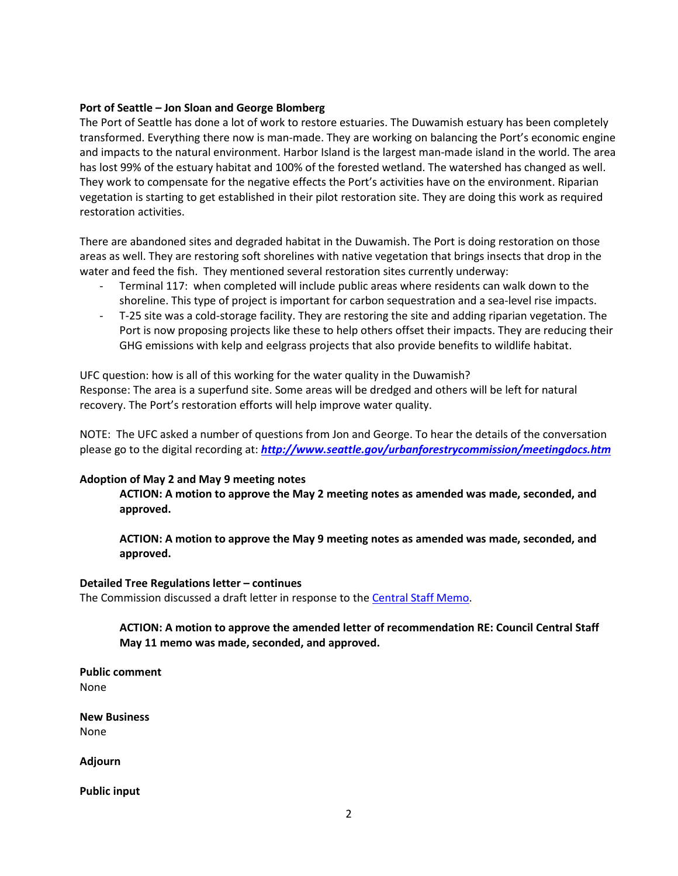# **Port of Seattle – Jon Sloan and George Blomberg**

The Port of Seattle has done a lot of work to restore estuaries. The Duwamish estuary has been completely transformed. Everything there now is man-made. They are working on balancing the Port's economic engine and impacts to the natural environment. Harbor Island is the largest man-made island in the world. The area has lost 99% of the estuary habitat and 100% of the forested wetland. The watershed has changed as well. They work to compensate for the negative effects the Port's activities have on the environment. Riparian vegetation is starting to get established in their pilot restoration site. They are doing this work as required restoration activities.

There are abandoned sites and degraded habitat in the Duwamish. The Port is doing restoration on those areas as well. They are restoring soft shorelines with native vegetation that brings insects that drop in the water and feed the fish. They mentioned several restoration sites currently underway:

- Terminal 117: when completed will include public areas where residents can walk down to the shoreline. This type of project is important for carbon sequestration and a sea-level rise impacts.
- T-25 site was a cold-storage facility. They are restoring the site and adding riparian vegetation. The Port is now proposing projects like these to help others offset their impacts. They are reducing their GHG emissions with kelp and eelgrass projects that also provide benefits to wildlife habitat.

UFC question: how is all of this working for the water quality in the Duwamish? Response: The area is a superfund site. Some areas will be dredged and others will be left for natural recovery. The Port's restoration efforts will help improve water quality.

NOTE: The UFC asked a number of questions from Jon and George. To hear the details of the conversation please go to the digital recording at: *<http://www.seattle.gov/urbanforestrycommission/meetingdocs.htm>*

# **Adoption of May 2 and May 9 meeting notes**

**ACTION: A motion to approve the May 2 meeting notes as amended was made, seconded, and approved.**

**ACTION: A motion to approve the May 9 meeting notes as amended was made, seconded, and approved.**

### **Detailed Tree Regulations letter – continues**

The Commission discussed a draft letter in response to the [Central Staff Memo.](http://www.seattle.gov/Documents/Departments/UrbanForestryCommission/2018/2018docs/TreeRegsCentralStaffMemoPLUZ051618.pdf)

**ACTION: A motion to approve the amended letter of recommendation RE: Council Central Staff May 11 memo was made, seconded, and approved.**

**Public comment** None

**New Business** None

**Adjourn**

**Public input**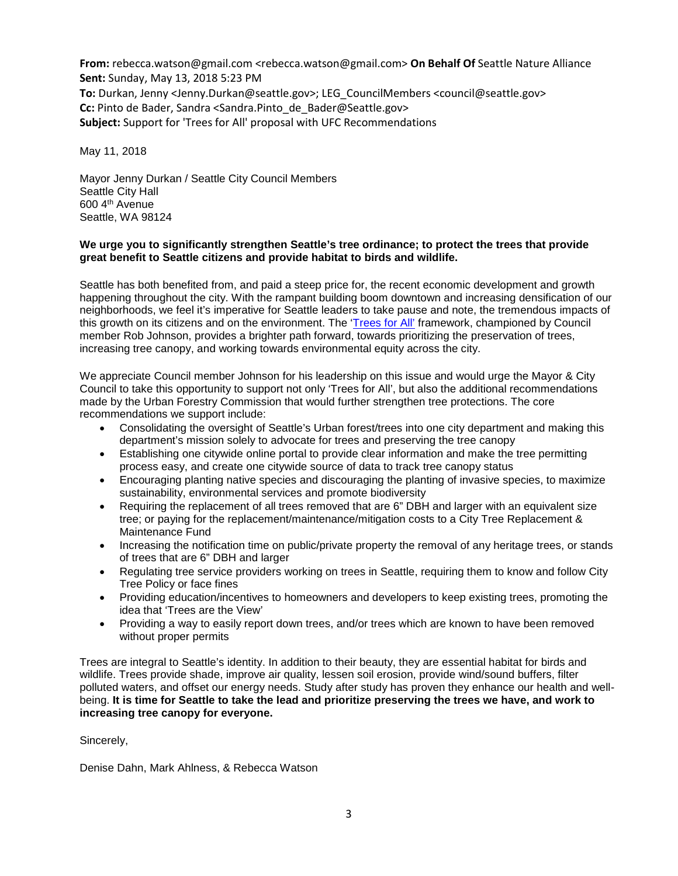**From:** rebecca.watson@gmail.com <rebecca.watson@gmail.com> **On Behalf Of** Seattle Nature Alliance **Sent:** Sunday, May 13, 2018 5:23 PM **To:** Durkan, Jenny <Jenny.Durkan@seattle.gov>; LEG\_CouncilMembers <council@seattle.gov> **Cc:** Pinto de Bader, Sandra <Sandra.Pinto\_de\_Bader@Seattle.gov> **Subject:** Support for 'Trees for All' proposal with UFC Recommendations

May 11, 2018

Mayor Jenny Durkan / Seattle City Council Members Seattle City Hall 600 4th Avenue Seattle, WA 98124

## **We urge you to significantly strengthen Seattle's tree ordinance; to protect the trees that provide great benefit to Seattle citizens and provide habitat to birds and wildlife.**

Seattle has both benefited from, and paid a steep price for, the recent economic development and growth happening throughout the city. With the rampant building boom downtown and increasing densification of our neighborhoods, we feel it's imperative for Seattle leaders to take pause and note, the tremendous impacts of this growth on its citizens and on the environment. The ['Trees for All'](https://www.seattle.gov/council/meet-the-council/rob-johnson/trees-for-all) framework, championed by Council member Rob Johnson, provides a brighter path forward, towards prioritizing the preservation of trees, increasing tree canopy, and working towards environmental equity across the city.

We appreciate Council member Johnson for his leadership on this issue and would urge the Mayor & City Council to take this opportunity to support not only 'Trees for All', but also the additional recommendations made by the Urban Forestry Commission that would further strengthen tree protections. The core recommendations we support include:

- Consolidating the oversight of Seattle's Urban forest/trees into one city department and making this department's mission solely to advocate for trees and preserving the tree canopy
- Establishing one citywide online portal to provide clear information and make the tree permitting process easy, and create one citywide source of data to track tree canopy status
- Encouraging planting native species and discouraging the planting of invasive species, to maximize sustainability, environmental services and promote biodiversity
- Requiring the replacement of all trees removed that are 6" DBH and larger with an equivalent size tree; or paying for the replacement/maintenance/mitigation costs to a City Tree Replacement & Maintenance Fund
- Increasing the notification time on public/private property the removal of any heritage trees, or stands of trees that are 6" DBH and larger
- Regulating tree service providers working on trees in Seattle, requiring them to know and follow City Tree Policy or face fines
- Providing education/incentives to homeowners and developers to keep existing trees, promoting the idea that 'Trees are the View'
- Providing a way to easily report down trees, and/or trees which are known to have been removed without proper permits

Trees are integral to Seattle's identity. In addition to their beauty, they are essential habitat for birds and wildlife. Trees provide shade, improve air quality, lessen soil erosion, provide wind/sound buffers, filter polluted waters, and offset our energy needs. Study after study has proven they enhance our health and wellbeing. **It is time for Seattle to take the lead and prioritize preserving the trees we have, and work to increasing tree canopy for everyone.**

Sincerely,

Denise Dahn, Mark Ahlness, & Rebecca Watson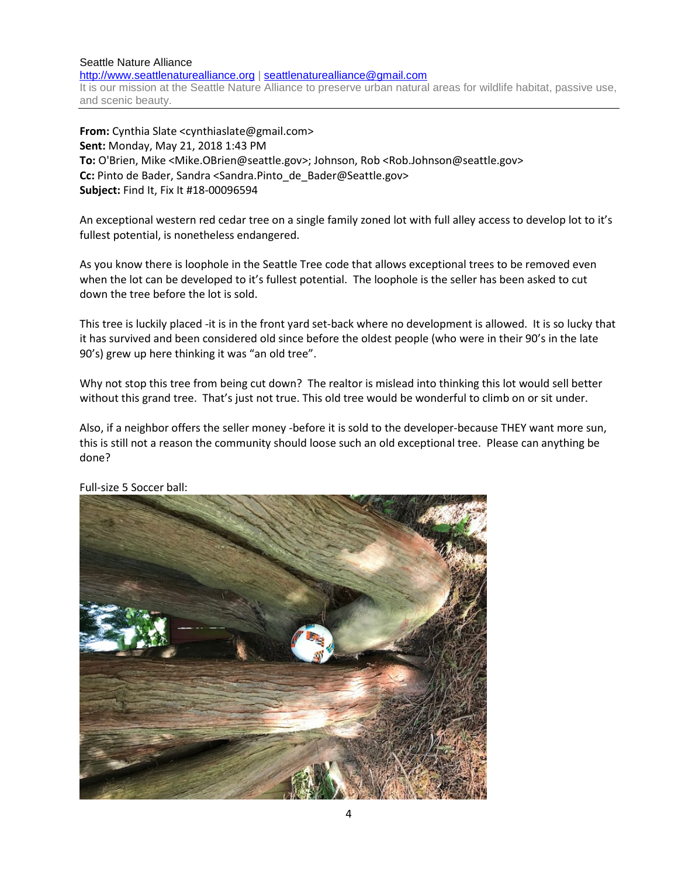#### Seattle Nature Alliance [http://www.seattlenaturealliance.org](http://www.seattlenaturealliance.org/) | [seattlenaturealliance@gmail.com](mailto:seattlenaturealliance@gmail.com) It is our mission at the Seattle Nature Alliance to preserve urban natural areas for wildlife habitat, passive use, and scenic beauty.

**From:** Cynthia Slate <cynthiaslate@gmail.com> **Sent:** Monday, May 21, 2018 1:43 PM **To:** O'Brien, Mike <Mike.OBrien@seattle.gov>; Johnson, Rob <Rob.Johnson@seattle.gov> **Cc:** Pinto de Bader, Sandra <Sandra.Pinto\_de\_Bader@Seattle.gov> **Subject:** Find It, Fix It #18-00096594

An exceptional western red cedar tree on a single family zoned lot with full alley access to develop lot to it's fullest potential, is nonetheless endangered.

As you know there is loophole in the Seattle Tree code that allows exceptional trees to be removed even when the lot can be developed to it's fullest potential. The loophole is the seller has been asked to cut down the tree before the lot is sold.

This tree is luckily placed -it is in the front yard set-back where no development is allowed. It is so lucky that it has survived and been considered old since before the oldest people (who were in their 90's in the late 90's) grew up here thinking it was "an old tree".

Why not stop this tree from being cut down? The realtor is mislead into thinking this lot would sell better without this grand tree. That's just not true. This old tree would be wonderful to climb on or sit under.

Also, if a neighbor offers the seller money -before it is sold to the developer-because THEY want more sun, this is still not a reason the community should loose such an old exceptional tree. Please can anything be done?



Full-size 5 Soccer ball: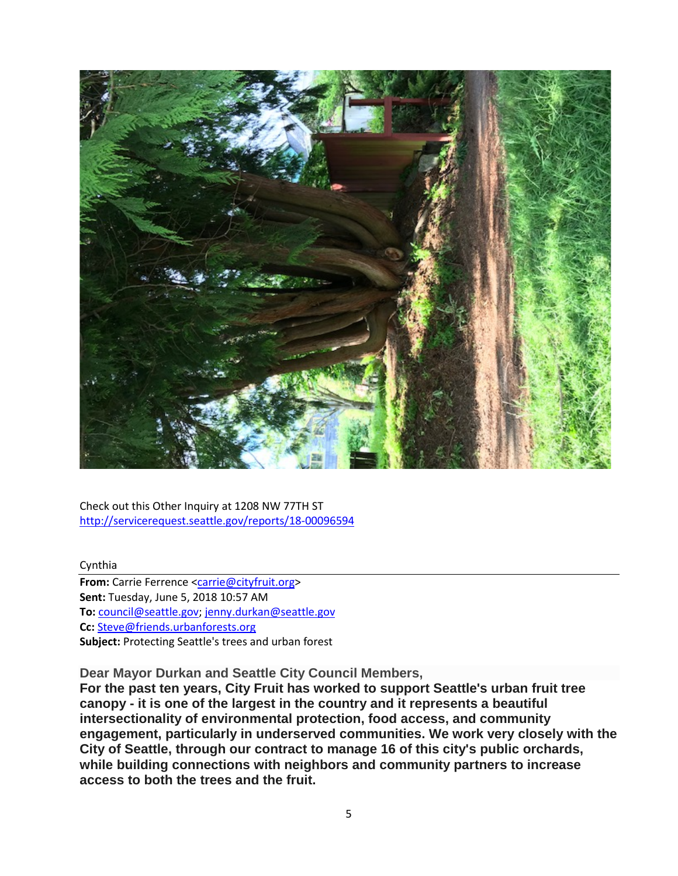

Check out this Other Inquiry at 1208 NW 77TH ST <http://servicerequest.seattle.gov/reports/18-00096594>

Cynthia

**From:** Carrie Ferrence [<carrie@cityfruit.org>](mailto:carrie@cityfruit.org) **Sent:** Tuesday, June 5, 2018 10:57 AM **To:** [council@seattle.gov;](mailto:council@seattle.gov) [jenny.durkan@seattle.gov](mailto:jenny.durkan@seattle.gov) **Cc:** [Steve@friends.urbanforests.org](mailto:Steve@friends.urbanforests.org) **Subject:** Protecting Seattle's trees and urban forest

**Dear Mayor Durkan and Seattle City Council Members,**

**For the past ten years, City Fruit has worked to support Seattle's urban fruit tree canopy - it is one of the largest in the country and it represents a beautiful intersectionality of environmental protection, food access, and community engagement, particularly in underserved communities. We work very closely with the City of Seattle, through our contract to manage 16 of this city's public orchards, while building connections with neighbors and community partners to increase access to both the trees and the fruit.**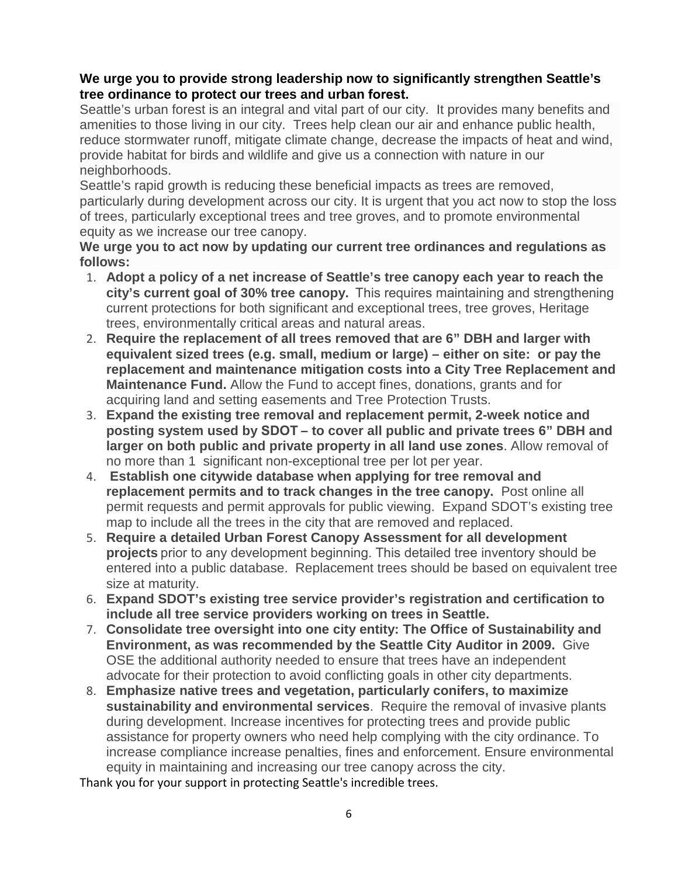# **We urge you to provide strong leadership now to significantly strengthen Seattle's tree ordinance to protect our trees and urban forest.**

Seattle's urban forest is an integral and vital part of our city. It provides many benefits and amenities to those living in our city. Trees help clean our air and enhance public health, reduce stormwater runoff, mitigate climate change, decrease the impacts of heat and wind, provide habitat for birds and wildlife and give us a connection with nature in our neighborhoods.

Seattle's rapid growth is reducing these beneficial impacts as trees are removed, particularly during development across our city. It is urgent that you act now to stop the loss of trees, particularly exceptional trees and tree groves, and to promote environmental equity as we increase our tree canopy.

**We urge you to act now by updating our current tree ordinances and regulations as follows:**

- 1. **Adopt a policy of a net increase of Seattle's tree canopy each year to reach the city's current goal of 30% tree canopy.**  This requires maintaining and strengthening current protections for both significant and exceptional trees, tree groves, Heritage trees, environmentally critical areas and natural areas.
- 2. **Require the replacement of all trees removed that are 6" DBH and larger with equivalent sized trees (e.g. small, medium or large) – either on site: or pay the replacement and maintenance mitigation costs into a City Tree Replacement and Maintenance Fund.** Allow the Fund to accept fines, donations, grants and for acquiring land and setting easements and Tree Protection Trusts.
- 3. **Expand the existing tree removal and replacement permit, 2-week notice and posting system used by SDOT – to cover all public and private trees 6" DBH and larger on both public and private property in all land use zones**. Allow removal of no more than 1 significant non-exceptional tree per lot per year.
- 4. **Establish one citywide database when applying for tree removal and replacement permits and to track changes in the tree canopy.** Post online all permit requests and permit approvals for public viewing. Expand SDOT's existing tree map to include all the trees in the city that are removed and replaced.
- 5. **Require a detailed Urban Forest Canopy Assessment for all development projects** prior to any development beginning. This detailed tree inventory should be entered into a public database. Replacement trees should be based on equivalent tree size at maturity.
- 6. **Expand SDOT's existing tree service provider's registration and certification to include all tree service providers working on trees in Seattle.**
- 7. **Consolidate tree oversight into one city entity: The Office of Sustainability and Environment, as was recommended by the Seattle City Auditor in 2009.** Give OSE the additional authority needed to ensure that trees have an independent advocate for their protection to avoid conflicting goals in other city departments.
- 8. **Emphasize native trees and vegetation, particularly conifers, to maximize sustainability and environmental services**. Require the removal of invasive plants during development. Increase incentives for protecting trees and provide public assistance for property owners who need help complying with the city ordinance. To increase compliance increase penalties, fines and enforcement. Ensure environmental equity in maintaining and increasing our tree canopy across the city.

Thank you for your support in protecting Seattle's incredible trees.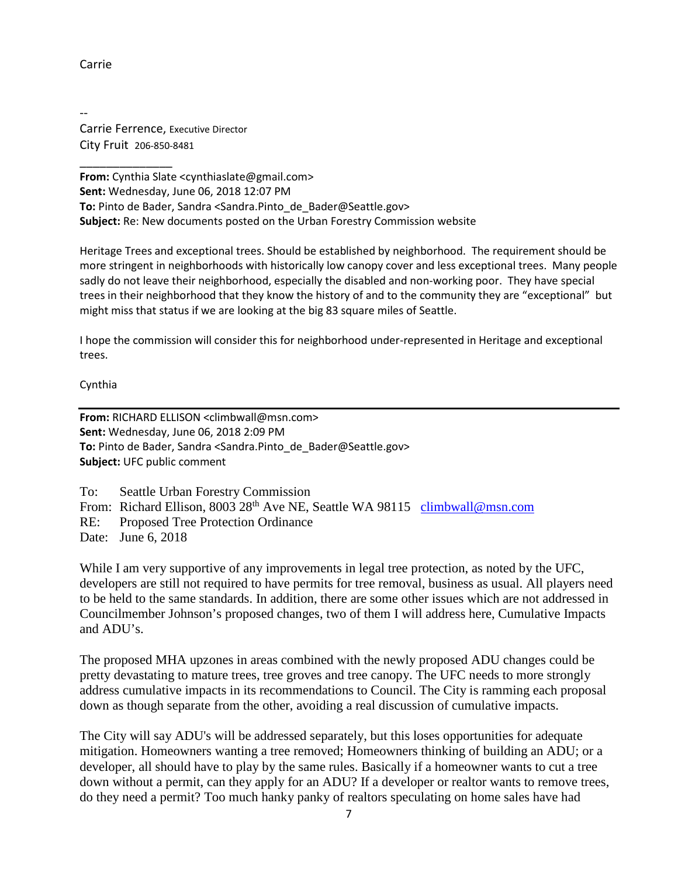# Carrie

-- Carrie Ferrence, Executive Director City Fruit 206-850-8481

\_\_\_\_\_\_\_\_\_\_\_\_\_\_ **From:** Cynthia Slate <cynthiaslate@gmail.com> **Sent:** Wednesday, June 06, 2018 12:07 PM **To:** Pinto de Bader, Sandra <Sandra.Pinto\_de\_Bader@Seattle.gov> **Subject:** Re: New documents posted on the Urban Forestry Commission website

Heritage Trees and exceptional trees. Should be established by neighborhood. The requirement should be more stringent in neighborhoods with historically low canopy cover and less exceptional trees. Many people sadly do not leave their neighborhood, especially the disabled and non-working poor. They have special trees in their neighborhood that they know the history of and to the community they are "exceptional" but might miss that status if we are looking at the big 83 square miles of Seattle.

I hope the commission will consider this for neighborhood under-represented in Heritage and exceptional trees.

Cynthia

**From:** RICHARD ELLISON <climbwall@msn.com> **Sent:** Wednesday, June 06, 2018 2:09 PM **To:** Pinto de Bader, Sandra <Sandra.Pinto\_de\_Bader@Seattle.gov> **Subject:** UFC public comment

To: Seattle Urban Forestry Commission From: Richard Ellison, 8003 28<sup>th</sup> Ave NE, Seattle WA 98115 [climbwall@msn.com](mailto:climbwall@msn.com) RE: Proposed Tree Protection Ordinance Date: June 6, 2018

While I am very supportive of any improvements in legal tree protection, as noted by the UFC, developers are still not required to have permits for tree removal, business as usual. All players need to be held to the same standards. In addition, there are some other issues which are not addressed in Councilmember Johnson's proposed changes, two of them I will address here, Cumulative Impacts and ADU's.

The proposed MHA upzones in areas combined with the newly proposed ADU changes could be pretty devastating to mature trees, tree groves and tree canopy. The UFC needs to more strongly address cumulative impacts in its recommendations to Council. The City is ramming each proposal down as though separate from the other, avoiding a real discussion of cumulative impacts.

The City will say ADU's will be addressed separately, but this loses opportunities for adequate mitigation. Homeowners wanting a tree removed; Homeowners thinking of building an ADU; or a developer, all should have to play by the same rules. Basically if a homeowner wants to cut a tree down without a permit, can they apply for an ADU? If a developer or realtor wants to remove trees, do they need a permit? Too much hanky panky of realtors speculating on home sales have had